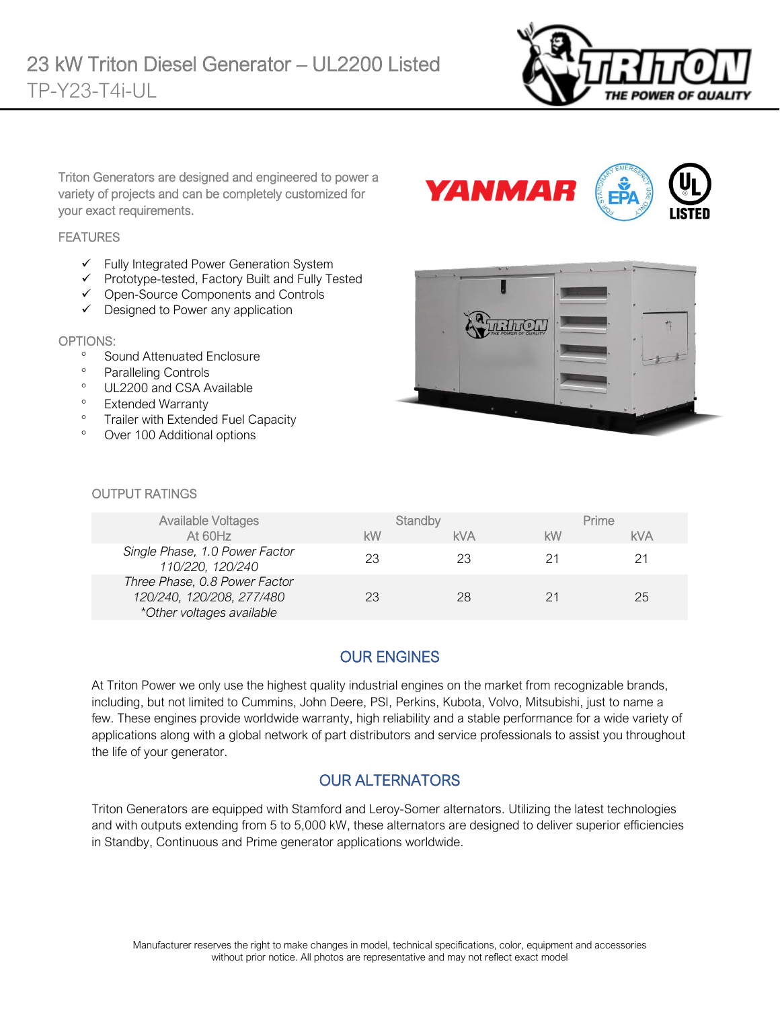

Triton Generators are designed and engineered to power a variety of projects and can be completely customized for your exact requirements.

#### **FEATURES**

- ✓ Fully Integrated Power Generation System
- ✓ Prototype-tested, Factory Built and Fully Tested
- ✓ Open-Source Components and Controls
- ✓ Designed to Power any application

#### OPTIONS:

- <sup>o</sup> Sound Attenuated Enclosure
- Paralleling Controls
- <sup>o</sup> UL2200 and CSA Available
- <sup>o</sup> Extended Warranty
- <sup>o</sup> Trailer with Extended Fuel Capacity
- Over 100 Additional options





#### OUTPUT RATINGS

| Available Voltages                                                                      | Standby |     | Prime |     |
|-----------------------------------------------------------------------------------------|---------|-----|-------|-----|
| At 60Hz                                                                                 | kW      | kVA | kW    | kVA |
| Single Phase, 1.0 Power Factor<br>110/220, 120/240                                      |         | 23  |       | 21  |
| Three Phase, 0.8 Power Factor<br>120/240, 120/208, 277/480<br>*Other voltages available |         | 28  |       | 25  |

## OUR ENGINES

At Triton Power we only use the highest quality industrial engines on the market from recognizable brands, including, but not limited to Cummins, John Deere, PSI, Perkins, Kubota, Volvo, Mitsubishi, just to name a few. These engines provide worldwide warranty, high reliability and a stable performance for a wide variety of applications along with a global network of part distributors and service professionals to assist you throughout the life of your generator.

## OUR ALTERNATORS

Triton Generators are equipped with Stamford and Leroy-Somer alternators. Utilizing the latest technologies and with outputs extending from 5 to 5,000 kW, these alternators are designed to deliver superior efficiencies in Standby, Continuous and Prime generator applications worldwide.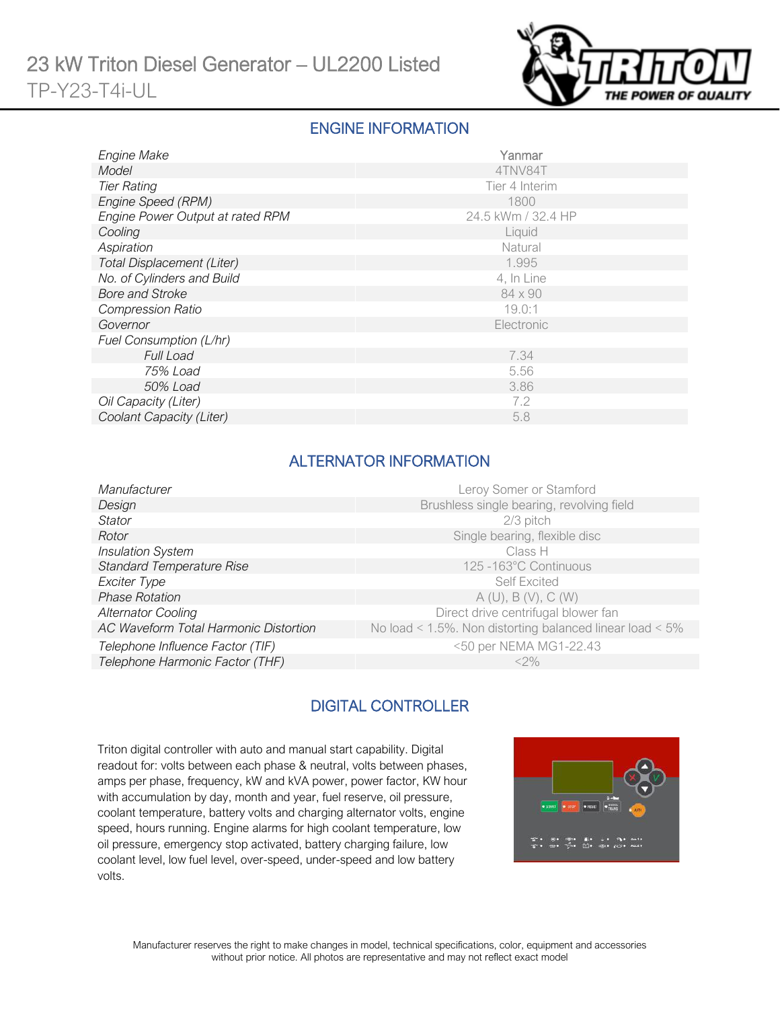

#### ENGINE INFORMATION

| Engine Make                      | Yanmar             |  |  |
|----------------------------------|--------------------|--|--|
| Model                            | 4TNV84T            |  |  |
| <b>Tier Rating</b>               | Tier 4 Interim     |  |  |
| Engine Speed (RPM)               | 1800               |  |  |
| Engine Power Output at rated RPM | 24.5 kWm / 32.4 HP |  |  |
| Cooling                          | Liquid             |  |  |
| Aspiration                       | Natural            |  |  |
| Total Displacement (Liter)       | 1.995              |  |  |
| No. of Cylinders and Build       | 4, In Line         |  |  |
| <b>Bore and Stroke</b>           | 84 x 90            |  |  |
| <b>Compression Ratio</b>         | 19.0:1             |  |  |
| Governor                         | Electronic         |  |  |
| Fuel Consumption (L/hr)          |                    |  |  |
| <b>Full Load</b>                 | 7.34               |  |  |
| 75% Load                         | 5.56               |  |  |
| 50% Load                         | 3.86               |  |  |
| Oil Capacity (Liter)             | 7.2                |  |  |
| Coolant Capacity (Liter)         | 5.8                |  |  |

## ALTERNATOR INFORMATION

| Manufacturer                          | Leroy Somer or Stamford                                  |
|---------------------------------------|----------------------------------------------------------|
| Design                                | Brushless single bearing, revolving field                |
| Stator                                | $2/3$ pitch                                              |
| Rotor                                 | Single bearing, flexible disc                            |
| <b>Insulation System</b>              | Class H                                                  |
| <b>Standard Temperature Rise</b>      | 125 -163°C Continuous                                    |
| Exciter Type                          | <b>Self Excited</b>                                      |
| <b>Phase Rotation</b>                 | A(U), B(V), C(W)                                         |
| <b>Alternator Cooling</b>             | Direct drive centrifugal blower fan                      |
| AC Waveform Total Harmonic Distortion | No load < 1.5%. Non distorting balanced linear load < 5% |
| Telephone Influence Factor (TIF)      | <50 per NEMA MG1-22.43                                   |
| Telephone Harmonic Factor (THF)       | $<2\%$                                                   |
|                                       |                                                          |

## DIGITAL CONTROLLER

Triton digital controller with auto and manual start capability. Digital readout for: volts between each phase & neutral, volts between phases, amps per phase, frequency, kW and kVA power, power factor, KW hour with accumulation by day, month and year, fuel reserve, oil pressure, coolant temperature, battery volts and charging alternator volts, engine speed, hours running. Engine alarms for high coolant temperature, low oil pressure, emergency stop activated, battery charging failure, low coolant level, low fuel level, over-speed, under-speed and low battery volts.

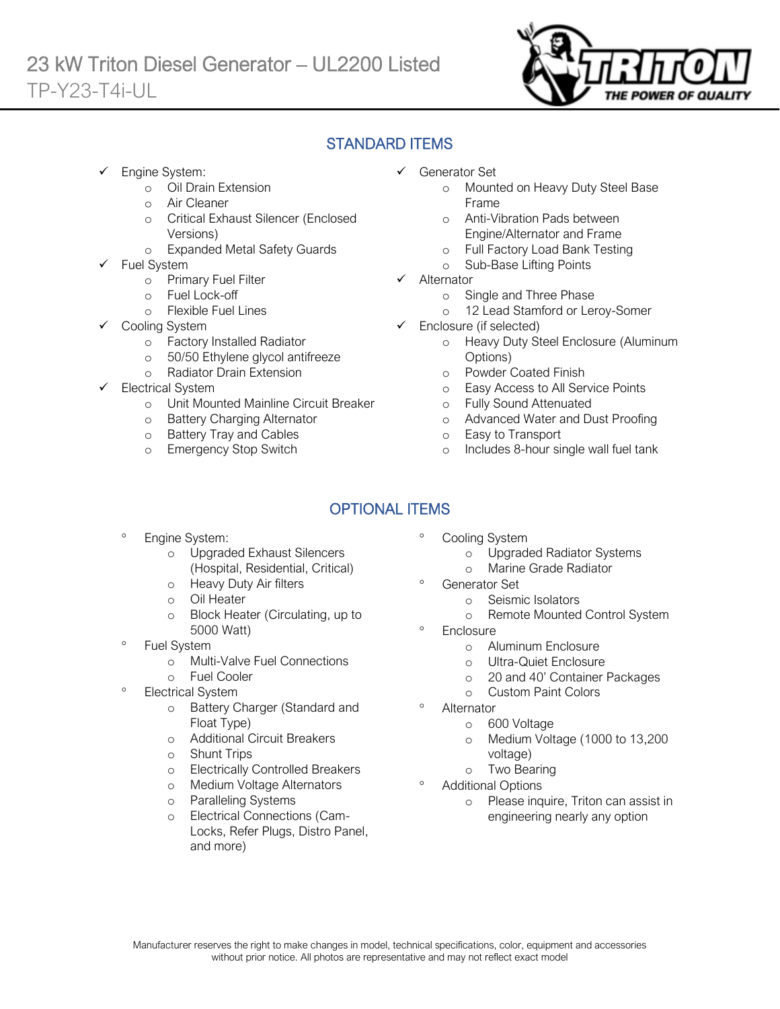

# STANDARD ITEMS

Engine System:

Ī

- o Oil Drain Extension
- o Air Cleaner
- o Critical Exhaust Silencer (Enclosed Versions)
- o Expanded Metal Safety Guards
- Fuel System
	- o Primary Fuel Filter
	- o Fuel Lock-off
		- o Flexible Fuel Lines
	- Cooling System
		- o Factory Installed Radiator
		- o 50/50 Ethylene glycol antifreeze
		- o Radiator Drain Extension
- Electrical System
	- o Unit Mounted Mainline Circuit Breaker
	- o Battery Charging Alternator
	- o Battery Tray and Cables
	- o Emergency Stop Switch
- ✓ Generator Set
	- o Mounted on Heavy Duty Steel Base Frame
	- o Anti-Vibration Pads between Engine/Alternator and Frame
	- o Full Factory Load Bank Testing
	- o Sub-Base Lifting Points
- ✓ Alternator
	- o Single and Three Phase
	- o 12 Lead Stamford or Leroy-Somer
- ✓ Enclosure (if selected)
	- o Heavy Duty Steel Enclosure (Aluminum Options)
	- o Powder Coated Finish
	- o Easy Access to All Service Points
	- o Fully Sound Attenuated
	- o Advanced Water and Dust Proofing
	- o Easy to Transport
	- o Includes 8-hour single wall fuel tank

# OPTIONAL ITEMS

- Engine System:
	- o Upgraded Exhaust Silencers (Hospital, Residential, Critical)
	- o Heavy Duty Air filters
	- o Oil Heater
	- o Block Heater (Circulating, up to 5000 Watt)
- Fuel System
	- o Multi-Valve Fuel Connections
	- o Fuel Cooler
- Electrical System
	- o Battery Charger (Standard and Float Type)
	- o Additional Circuit Breakers
	- o Shunt Trips
	- o Electrically Controlled Breakers
	- o Medium Voltage Alternators
	- o Paralleling Systems
	- o Electrical Connections (Cam-Locks, Refer Plugs, Distro Panel, and more)
- Cooling System
	- o Upgraded Radiator Systems
	- o Marine Grade Radiator
	- Generator Set
		- o Seismic Isolators
		- o Remote Mounted Control System
- **Enclosure** 
	- o Aluminum Enclosure
	- o Ultra-Quiet Enclosure
	- o 20 and 40' Container Packages
	- o Custom Paint Colors
- Alternator
	- o 600 Voltage
	- o Medium Voltage (1000 to 13,200 voltage)
	- o Two Bearing
- Additional Options
	- o Please inquire, Triton can assist in engineering nearly any option